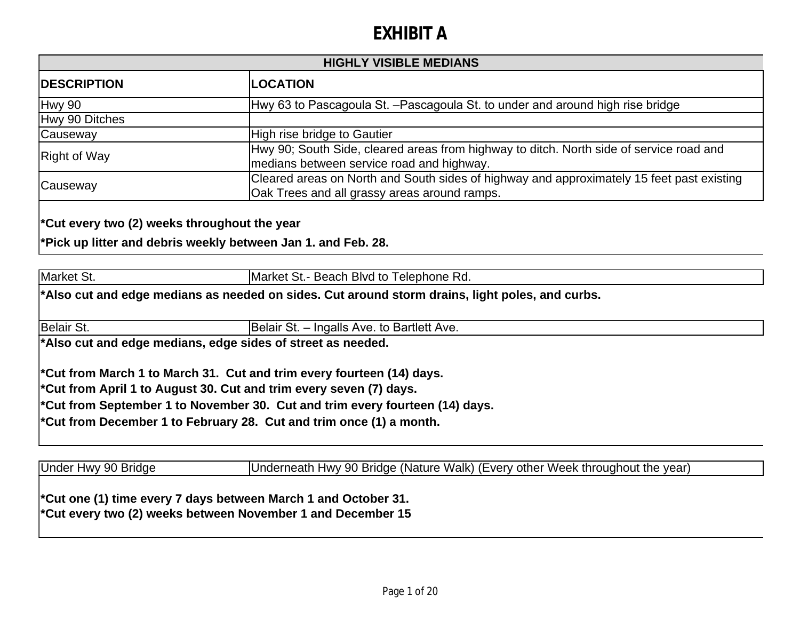| <b>HIGHLY VISIBLE MEDIANS</b> |                                                                                                                                           |
|-------------------------------|-------------------------------------------------------------------------------------------------------------------------------------------|
| <b>IDESCRIPTION</b>           | <b>LOCATION</b>                                                                                                                           |
| Hwy 90                        | Hwy 63 to Pascagoula St. - Pascagoula St. to under and around high rise bridge                                                            |
| Hwy 90 Ditches                |                                                                                                                                           |
| Causeway                      | High rise bridge to Gautier                                                                                                               |
| <b>Right of Way</b>           | Hwy 90; South Side, cleared areas from highway to ditch. North side of service road and<br>medians between service road and highway.      |
| Causeway                      | Cleared areas on North and South sides of highway and approximately 15 feet past existing<br>Oak Trees and all grassy areas around ramps. |

**\*Cut every two (2) weeks throughout the year**

**\*Pick up litter and debris weekly between Jan 1. and Feb. 28.**

Market St. Market St.- Beach Blvd to Telephone Rd.

**\*Also cut and edge medians as needed on sides. Cut around storm drains, light poles, and curbs.**

Belair St. **Belair St. – Ingalls Ave. to Bartlett Ave.** 

**\*Also cut and edge medians, edge sides of street as needed.**

**\*Cut from March 1 to March 31. Cut and trim every fourteen (14) days.**

**\*Cut from April 1 to August 30. Cut and trim every seven (7) days.**

**\*Cut from September 1 to November 30. Cut and trim every fourteen (14) days.**

**\*Cut from December 1 to February 28. Cut and trim once (1) a month.**

Under Hwy 90 Bridge Underneath Hwy 90 Bridge (Nature Walk) (Every other Week throughout the year)

**\*Cut one (1) time every 7 days between March 1 and October 31. \*Cut every two (2) weeks between November 1 and December 15**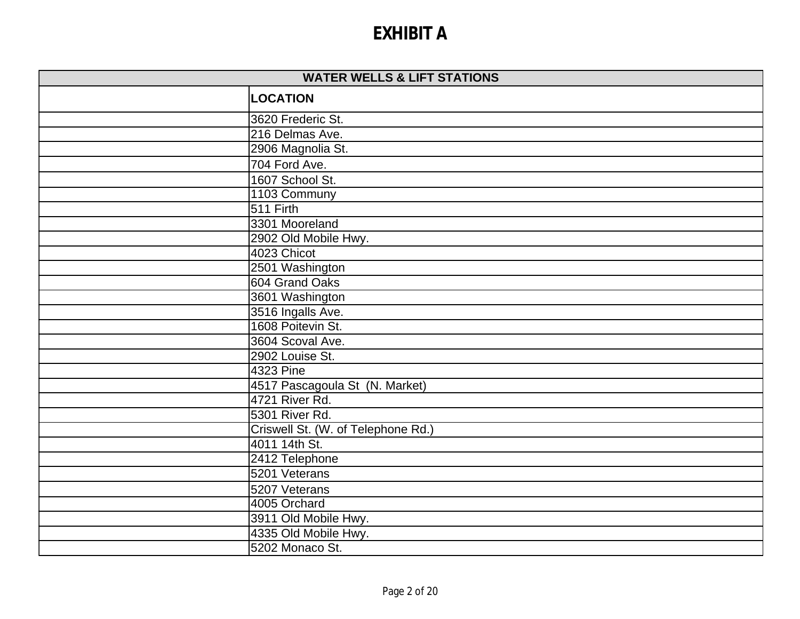| <b>WATER WELLS &amp; LIFT STATIONS</b> |                                    |
|----------------------------------------|------------------------------------|
|                                        | <b>LOCATION</b>                    |
|                                        | 3620 Frederic St.                  |
|                                        | 216 Delmas Ave.                    |
|                                        | 2906 Magnolia St.                  |
|                                        | 704 Ford Ave.                      |
|                                        | 1607 School St.                    |
|                                        | 1103 Communy                       |
|                                        | 511 Firth                          |
|                                        | 3301 Mooreland                     |
|                                        | 2902 Old Mobile Hwy.               |
|                                        | 4023 Chicot                        |
|                                        | 2501 Washington                    |
|                                        | 604 Grand Oaks                     |
|                                        | 3601 Washington                    |
|                                        | 3516 Ingalls Ave.                  |
|                                        | 1608 Poitevin St.                  |
|                                        | 3604 Scoval Ave.                   |
|                                        | 2902 Louise St.                    |
|                                        | 4323 Pine                          |
|                                        | 4517 Pascagoula St (N. Market)     |
|                                        | 4721 River Rd.                     |
|                                        | 5301 River Rd.                     |
|                                        | Criswell St. (W. of Telephone Rd.) |
|                                        | 4011 14th St.                      |
|                                        | 2412 Telephone                     |
|                                        | 5201 Veterans                      |
|                                        | 5207 Veterans                      |
|                                        | 4005 Orchard                       |
|                                        | 3911 Old Mobile Hwy.               |
|                                        | 4335 Old Mobile Hwy.               |
|                                        | 5202 Monaco St.                    |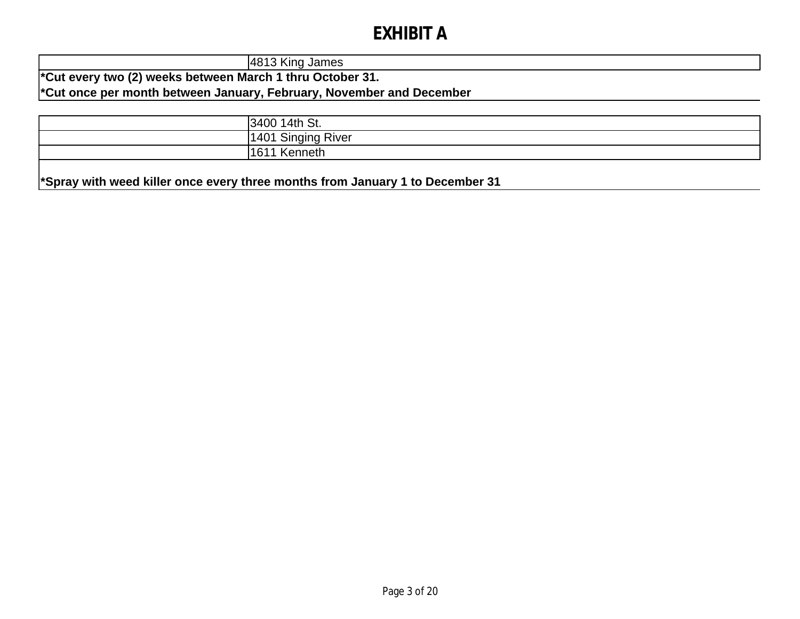4813 King James **\*Cut every two (2) weeks between March 1 thru October 31. \*Cut once per month between January, February, November and December**

| 14th St.<br> 34001                |
|-----------------------------------|
| Singing<br>River<br>1101<br>ו שדי |
| 116'<br>enneth<br>U               |

**\*Spray with weed killer once every three months from January 1 to December 31**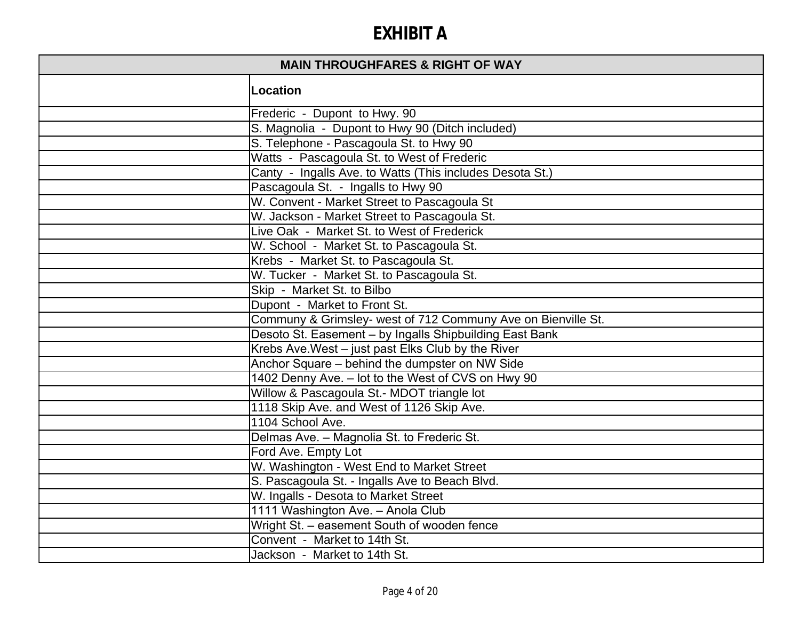| <b>MAIN THROUGHFARES &amp; RIGHT OF WAY</b> |                                                              |
|---------------------------------------------|--------------------------------------------------------------|
|                                             | Location                                                     |
|                                             | Frederic - Dupont to Hwy. 90                                 |
|                                             | S. Magnolia - Dupont to Hwy 90 (Ditch included)              |
|                                             | S. Telephone - Pascagoula St. to Hwy 90                      |
|                                             | Watts - Pascagoula St. to West of Frederic                   |
|                                             | Canty - Ingalls Ave. to Watts (This includes Desota St.)     |
|                                             | Pascagoula St. - Ingalls to Hwy 90                           |
|                                             | W. Convent - Market Street to Pascagoula St                  |
|                                             | W. Jackson - Market Street to Pascagoula St.                 |
|                                             | Live Oak - Market St. to West of Frederick                   |
|                                             | W. School - Market St. to Pascagoula St.                     |
|                                             | Krebs - Market St. to Pascagoula St.                         |
|                                             | W. Tucker - Market St. to Pascagoula St.                     |
|                                             | Skip - Market St. to Bilbo                                   |
|                                             | Dupont - Market to Front St.                                 |
|                                             | Communy & Grimsley- west of 712 Communy Ave on Bienville St. |
|                                             | Desoto St. Easement - by Ingalls Shipbuilding East Bank      |
|                                             | Krebs Ave. West - just past Elks Club by the River           |
|                                             | Anchor Square - behind the dumpster on NW Side               |
|                                             | 1402 Denny Ave. - lot to the West of CVS on Hwy 90           |
|                                             | Willow & Pascagoula St.- MDOT triangle lot                   |
|                                             | 1118 Skip Ave. and West of 1126 Skip Ave.                    |
|                                             | 1104 School Ave.                                             |
|                                             | Delmas Ave. - Magnolia St. to Frederic St.                   |
|                                             | Ford Ave. Empty Lot                                          |
|                                             | W. Washington - West End to Market Street                    |
|                                             | S. Pascagoula St. - Ingalls Ave to Beach Blvd.               |
|                                             | W. Ingalls - Desota to Market Street                         |
|                                             | 1111 Washington Ave. - Anola Club                            |
|                                             | Wright St. - easement South of wooden fence                  |
|                                             | Convent - Market to 14th St.                                 |
|                                             | Jackson - Market to 14th St.                                 |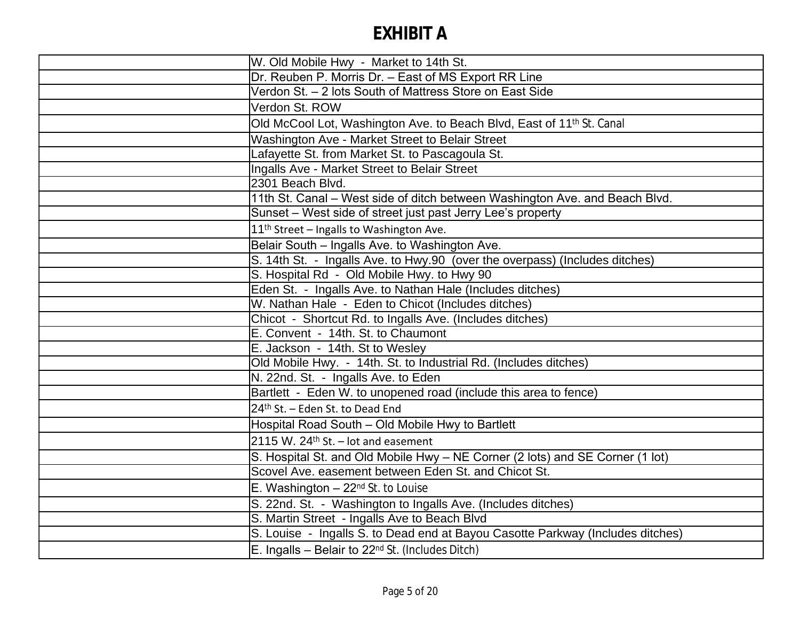| W. Old Mobile Hwy - Market to 14th St.                                            |
|-----------------------------------------------------------------------------------|
| Dr. Reuben P. Morris Dr. - East of MS Export RR Line                              |
| Verdon St. - 2 lots South of Mattress Store on East Side                          |
| Verdon St. ROW                                                                    |
| Old McCool Lot, Washington Ave. to Beach Blvd, East of 11 <sup>th</sup> St. Canal |
| Washington Ave - Market Street to Belair Street                                   |
| Lafayette St. from Market St. to Pascagoula St.                                   |
| Ingalls Ave - Market Street to Belair Street                                      |
| 2301 Beach Blvd.                                                                  |
| 11th St. Canal - West side of ditch between Washington Ave. and Beach Blvd.       |
| Sunset - West side of street just past Jerry Lee's property                       |
| 11 <sup>th</sup> Street - Ingalls to Washington Ave.                              |
| Belair South - Ingalls Ave. to Washington Ave.                                    |
| S. 14th St. - Ingalls Ave. to Hwy.90 (over the overpass) (Includes ditches)       |
| S. Hospital Rd - Old Mobile Hwy. to Hwy 90                                        |
| Eden St. - Ingalls Ave. to Nathan Hale (Includes ditches)                         |
| W. Nathan Hale - Eden to Chicot (Includes ditches)                                |
| Chicot - Shortcut Rd. to Ingalls Ave. (Includes ditches)                          |
| E. Convent - 14th. St. to Chaumont                                                |
| E. Jackson - 14th. St to Wesley                                                   |
| Old Mobile Hwy. - 14th. St. to Industrial Rd. (Includes ditches)                  |
| N. 22nd. St. - Ingalls Ave. to Eden                                               |
| Bartlett - Eden W. to unopened road (include this area to fence)                  |
| 24th St. - Eden St. to Dead End                                                   |
| Hospital Road South - Old Mobile Hwy to Bartlett                                  |
| 2115 W. $24$ <sup>th</sup> St. – lot and easement                                 |
| S. Hospital St. and Old Mobile Hwy - NE Corner (2 lots) and SE Corner (1 lot)     |
| Scovel Ave. easement between Eden St. and Chicot St.                              |
| E. Washington $-22nd$ St. to Louise                                               |
| S. 22nd. St. - Washington to Ingalls Ave. (Includes ditches)                      |
| S. Martin Street - Ingalls Ave to Beach Blvd                                      |
| S. Louise - Ingalls S. to Dead end at Bayou Casotte Parkway (Includes ditches)    |
| $E$ . Ingalls – Belair to 22 <sup>nd</sup> St. (Includes Ditch)                   |
|                                                                                   |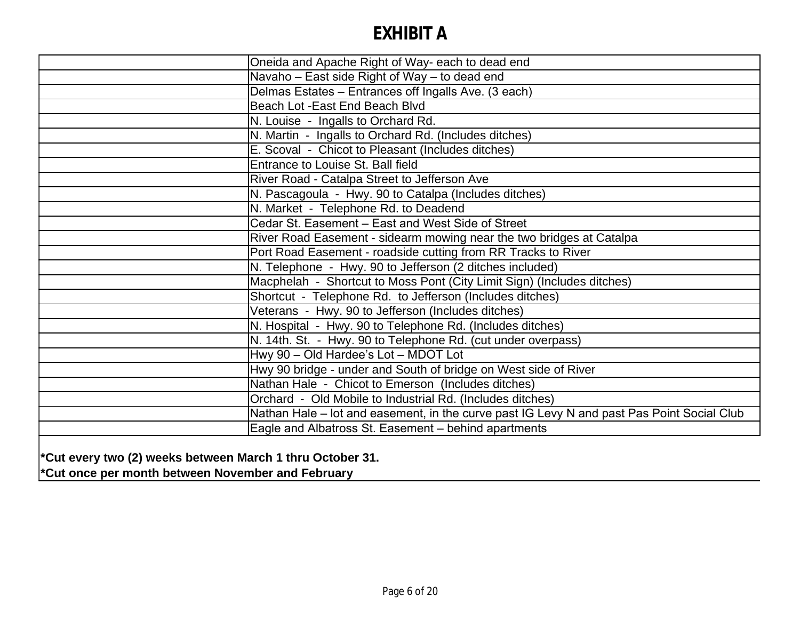| Oneida and Apache Right of Way- each to dead end                                           |
|--------------------------------------------------------------------------------------------|
| Navaho - East side Right of Way - to dead end                                              |
| Delmas Estates - Entrances off Ingalls Ave. (3 each)                                       |
| Beach Lot - East End Beach Blvd                                                            |
| N. Louise - Ingalls to Orchard Rd.                                                         |
| N. Martin - Ingalls to Orchard Rd. (Includes ditches)                                      |
| E. Scoval - Chicot to Pleasant (Includes ditches)                                          |
| Entrance to Louise St. Ball field                                                          |
| River Road - Catalpa Street to Jefferson Ave                                               |
| N. Pascagoula - Hwy. 90 to Catalpa (Includes ditches)                                      |
| N. Market - Telephone Rd. to Deadend                                                       |
| Cedar St. Easement - East and West Side of Street                                          |
| River Road Easement - sidearm mowing near the two bridges at Catalpa                       |
| Port Road Easement - roadside cutting from RR Tracks to River                              |
| N. Telephone - Hwy. 90 to Jefferson (2 ditches included)                                   |
| Macphelah - Shortcut to Moss Pont (City Limit Sign) (Includes ditches)                     |
| Shortcut - Telephone Rd. to Jefferson (Includes ditches)                                   |
| Veterans - Hwy. 90 to Jefferson (Includes ditches)                                         |
| N. Hospital - Hwy. 90 to Telephone Rd. (Includes ditches)                                  |
| N. 14th. St. - Hwy. 90 to Telephone Rd. (cut under overpass)                               |
| Hwy 90 - Old Hardee's Lot - MDOT Lot                                                       |
| Hwy 90 bridge - under and South of bridge on West side of River                            |
| Nathan Hale - Chicot to Emerson (Includes ditches)                                         |
| Orchard - Old Mobile to Industrial Rd. (Includes ditches)                                  |
| Nathan Hale – lot and easement, in the curve past IG Levy N and past Pas Point Social Club |
| Eagle and Albatross St. Easement - behind apartments                                       |
|                                                                                            |

**\*Cut every two (2) weeks between March 1 thru October 31. \*Cut once per month between November and February**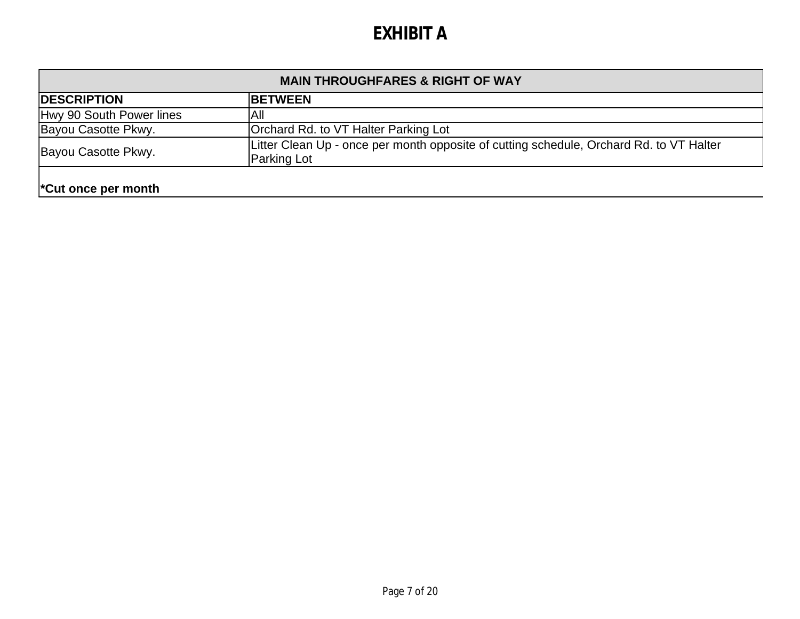| <b>MAIN THROUGHFARES &amp; RIGHT OF WAY</b> |                                                                                                        |  |
|---------------------------------------------|--------------------------------------------------------------------------------------------------------|--|
| <b>DESCRIPTION</b>                          | <b>IBETWEEN</b>                                                                                        |  |
| Hwy 90 South Power lines                    | IAII                                                                                                   |  |
| Bayou Casotte Pkwy.                         | Orchard Rd. to VT Halter Parking Lot                                                                   |  |
| Bayou Casotte Pkwy.                         | Litter Clean Up - once per month opposite of cutting schedule, Orchard Rd. to VT Halter<br>Parking Lot |  |
| <sup>*</sup> Cut once per month             |                                                                                                        |  |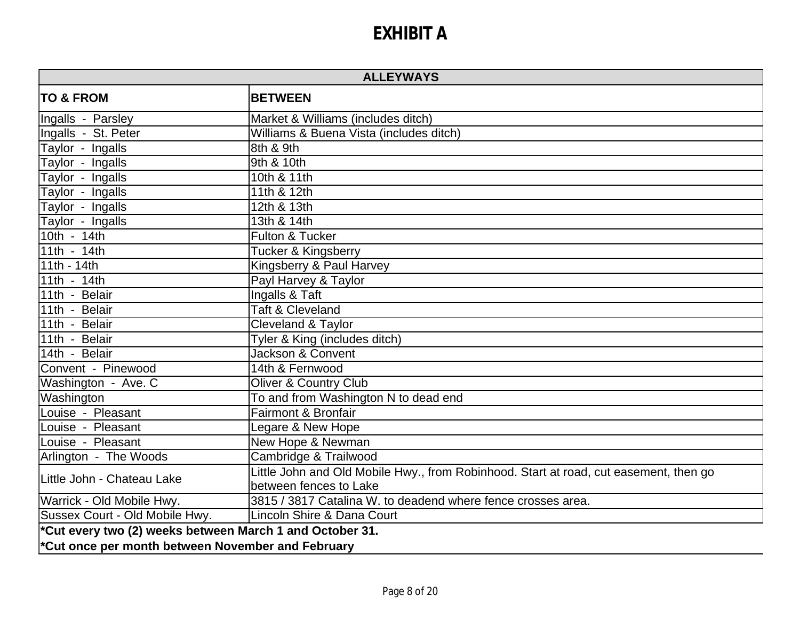| <b>ALLEYWAYS</b>                                         |                                                                                       |  |
|----------------------------------------------------------|---------------------------------------------------------------------------------------|--|
| <b>TO &amp; FROM</b>                                     | <b>BETWEEN</b>                                                                        |  |
| Ingalls - Parsley                                        | Market & Williams (includes ditch)                                                    |  |
| Ingalls - St. Peter                                      | Williams & Buena Vista (includes ditch)                                               |  |
| $\overline{T}$ aylor - Ingalls                           | l8th & 9th                                                                            |  |
| Taylor - Ingalls                                         | 9th & 10th                                                                            |  |
| Taylor - Ingalls                                         | 10th & 11th                                                                           |  |
| Taylor - Ingalls                                         | 11th & 12th                                                                           |  |
| Taylor - Ingalls                                         | 12th & 13th                                                                           |  |
| Taylor - Ingalls                                         | 13th & 14th                                                                           |  |
| $10th - 14th$                                            | <b>Fulton &amp; Tucker</b>                                                            |  |
| 11th - $14th$                                            | Tucker & Kingsberry                                                                   |  |
| $11th - 14th$                                            | Kingsberry & Paul Harvey                                                              |  |
| 11th - 14th                                              | Payl Harvey & Taylor                                                                  |  |
| 11th - Belair                                            | Ingalls & Taft                                                                        |  |
| 11th - Belair                                            | <b>Taft &amp; Cleveland</b>                                                           |  |
| 11th - Belair                                            | Cleveland & Taylor                                                                    |  |
| 11th - Belair                                            | Tyler & King (includes ditch)                                                         |  |
| 14th - Belair                                            | <b>Jackson &amp; Convent</b>                                                          |  |
| Convent - Pinewood                                       | 14th & Fernwood                                                                       |  |
| Washington - Ave. C                                      | <b>Oliver &amp; Country Club</b>                                                      |  |
| Washington                                               | To and from Washington N to dead end                                                  |  |
| Louise - Pleasant                                        | <b>Fairmont &amp; Bronfair</b>                                                        |  |
| Louise - Pleasant                                        | Legare & New Hope                                                                     |  |
| Louise - Pleasant                                        | New Hope & Newman                                                                     |  |
| Arlington - The Woods                                    | Cambridge & Trailwood                                                                 |  |
| Little John - Chateau Lake                               | Little John and Old Mobile Hwy., from Robinhood. Start at road, cut easement, then go |  |
|                                                          | between fences to Lake                                                                |  |
| Warrick - Old Mobile Hwy.                                | 3815 / 3817 Catalina W. to deadend where fence crosses area.                          |  |
| Sussex Court - Old Mobile Hwy.                           | Lincoln Shire & Dana Court                                                            |  |
| *Cut every two (2) weeks between March 1 and October 31. |                                                                                       |  |
| *Cut once per month between November and February        |                                                                                       |  |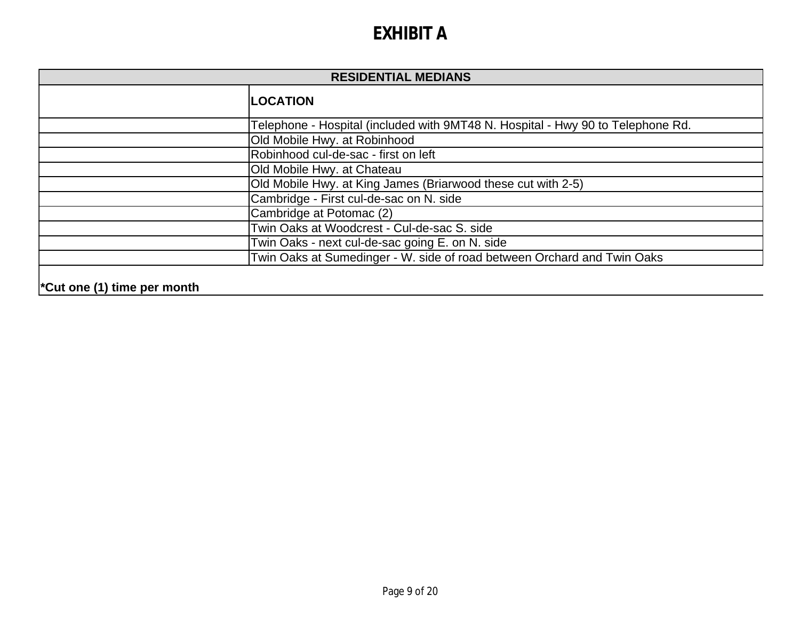| <b>RESIDENTIAL MEDIANS</b> |                                                                                 |
|----------------------------|---------------------------------------------------------------------------------|
|                            | <b>LOCATION</b>                                                                 |
|                            | Telephone - Hospital (included with 9MT48 N. Hospital - Hwy 90 to Telephone Rd. |
|                            | Old Mobile Hwy. at Robinhood                                                    |
|                            | Robinhood cul-de-sac - first on left                                            |
|                            | Old Mobile Hwy. at Chateau                                                      |
|                            | Old Mobile Hwy. at King James (Briarwood these cut with 2-5)                    |
|                            | Cambridge - First cul-de-sac on N. side                                         |
|                            | Cambridge at Potomac (2)                                                        |
|                            | Twin Oaks at Woodcrest - Cul-de-sac S. side                                     |
|                            | Twin Oaks - next cul-de-sac going E. on N. side                                 |
|                            | Twin Oaks at Sumedinger - W. side of road between Orchard and Twin Oaks         |
|                            |                                                                                 |

#### **\*Cut one (1) time per month**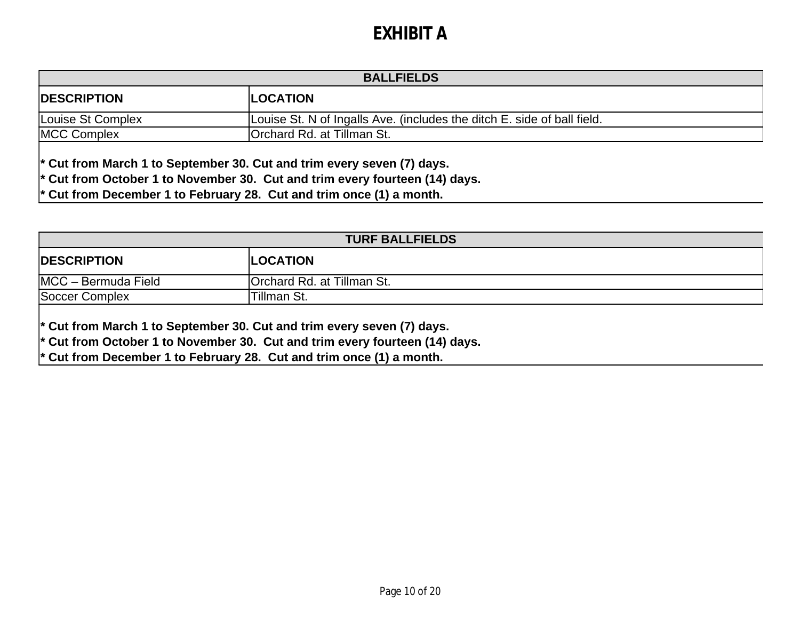| <b>BALLFIELDS</b>  |                                                                         |
|--------------------|-------------------------------------------------------------------------|
| <b>DESCRIPTION</b> | <b>ILOCATION</b>                                                        |
| Louise St Complex  | Louise St. N of Ingalls Ave. (includes the ditch E. side of ball field. |
| <b>MCC Complex</b> | <b>Orchard Rd. at Tillman St.</b>                                       |

**\* Cut from March 1 to September 30. Cut and trim every seven (7) days.**

**\* Cut from October 1 to November 30. Cut and trim every fourteen (14) days.**

**\* Cut from December 1 to February 28. Cut and trim once (1) a month.**

| <b>TURF BALLFIELDS</b> |                            |
|------------------------|----------------------------|
| <b>DESCRIPTION</b>     | <b>ILOCATION</b>           |
| MCC - Bermuda Field    | Orchard Rd. at Tillman St. |
| Soccer Complex         | <b>ITillman St.</b>        |

**\* Cut from March 1 to September 30. Cut and trim every seven (7) days.**

**\* Cut from October 1 to November 30. Cut and trim every fourteen (14) days.**

**\* Cut from December 1 to February 28. Cut and trim once (1) a month.**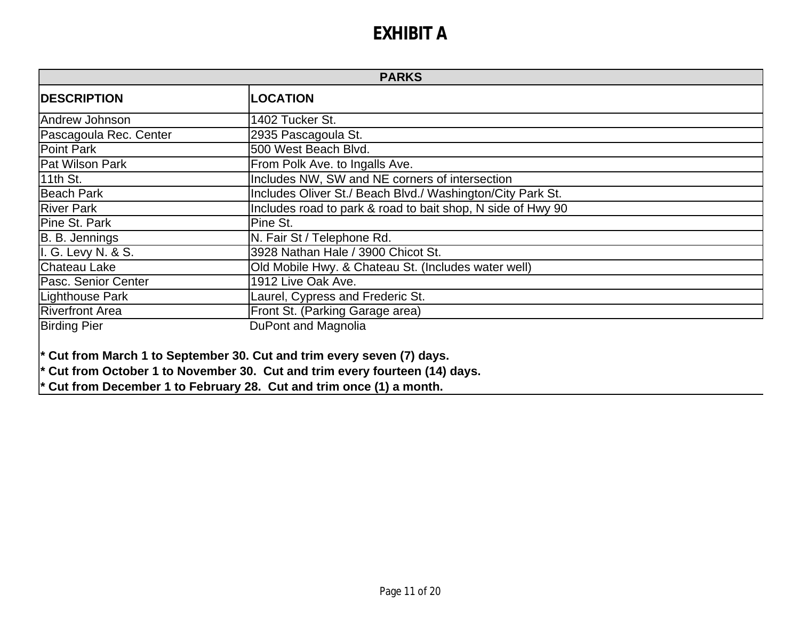| <b>PARKS</b>           |                                                             |
|------------------------|-------------------------------------------------------------|
| <b>IDESCRIPTION</b>    | <b>LOCATION</b>                                             |
| Andrew Johnson         | 1402 Tucker St.                                             |
| Pascagoula Rec. Center | 2935 Pascagoula St.                                         |
| Point Park             | 500 West Beach Blvd.                                        |
| Pat Wilson Park        | From Polk Ave. to Ingalls Ave.                              |
| 11th St.               | Includes NW, SW and NE corners of intersection              |
| <b>Beach Park</b>      | Includes Oliver St./ Beach Blvd./ Washington/City Park St.  |
| <b>River Park</b>      | Includes road to park & road to bait shop, N side of Hwy 90 |
| Pine St. Park          | Pine St.                                                    |
| B. B. Jennings         | N. Fair St / Telephone Rd.                                  |
| I. G. Levy N. & S.     | 3928 Nathan Hale / 3900 Chicot St.                          |
| Chateau Lake           | Old Mobile Hwy. & Chateau St. (Includes water well)         |
| Pasc. Senior Center    | 1912 Live Oak Ave.                                          |
| Lighthouse Park        | Laurel, Cypress and Frederic St.                            |
| Riverfront Area        | Front St. (Parking Garage area)                             |
| <b>Birding Pier</b>    | DuPont and Magnolia                                         |

**\* Cut from March 1 to September 30. Cut and trim every seven (7) days.**

**\* Cut from October 1 to November 30. Cut and trim every fourteen (14) days.**

**\* Cut from December 1 to February 28. Cut and trim once (1) a month.**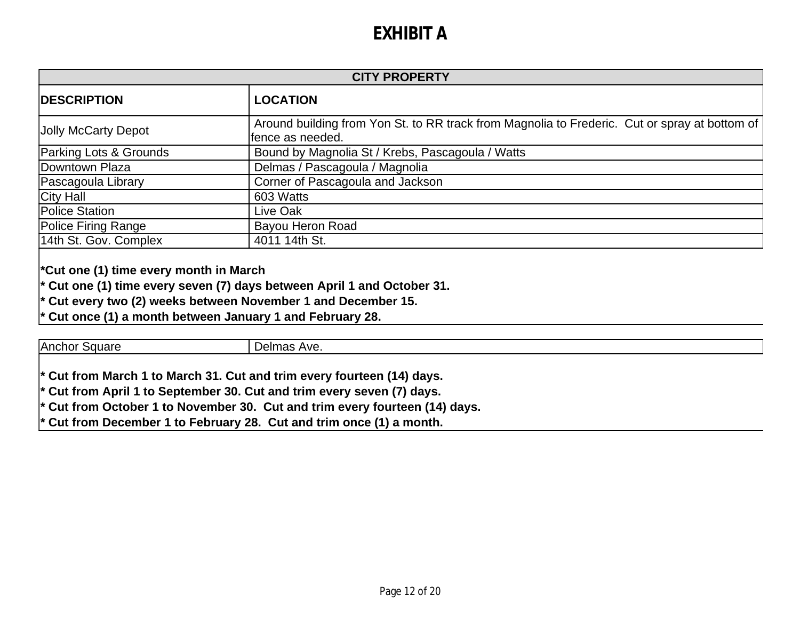| <b>CITY PROPERTY</b>   |                                                                                                                    |
|------------------------|--------------------------------------------------------------------------------------------------------------------|
| <b>DESCRIPTION</b>     | <b>LOCATION</b>                                                                                                    |
| Jolly McCarty Depot    | Around building from Yon St. to RR track from Magnolia to Frederic. Cut or spray at bottom of<br>lfence as needed. |
| Parking Lots & Grounds | Bound by Magnolia St / Krebs, Pascagoula / Watts                                                                   |
| Downtown Plaza         | Delmas / Pascagoula / Magnolia                                                                                     |
| Pascagoula Library     | Corner of Pascagoula and Jackson                                                                                   |
| City Hall              | 603 Watts                                                                                                          |
| <b>Police Station</b>  | Live Oak                                                                                                           |
| Police Firing Range    | Bayou Heron Road                                                                                                   |
| 14th St. Gov. Complex  | 4011 14th St.                                                                                                      |

**\*Cut one (1) time every month in March**

**\* Cut one (1) time every seven (7) days between April 1 and October 31.**

Cut every two (2) weeks between November 1 and December 15.

**\* Cut once (1) a month between January 1 and February 28.**

Anchor Square **Delmas Ave.** 

**\* Cut from March 1 to March 31. Cut and trim every fourteen (14) days.**

**\* Cut from April 1 to September 30. Cut and trim every seven (7) days.**

**\* Cut from October 1 to November 30. Cut and trim every fourteen (14) days.**

**\* Cut from December 1 to February 28. Cut and trim once (1) a month.**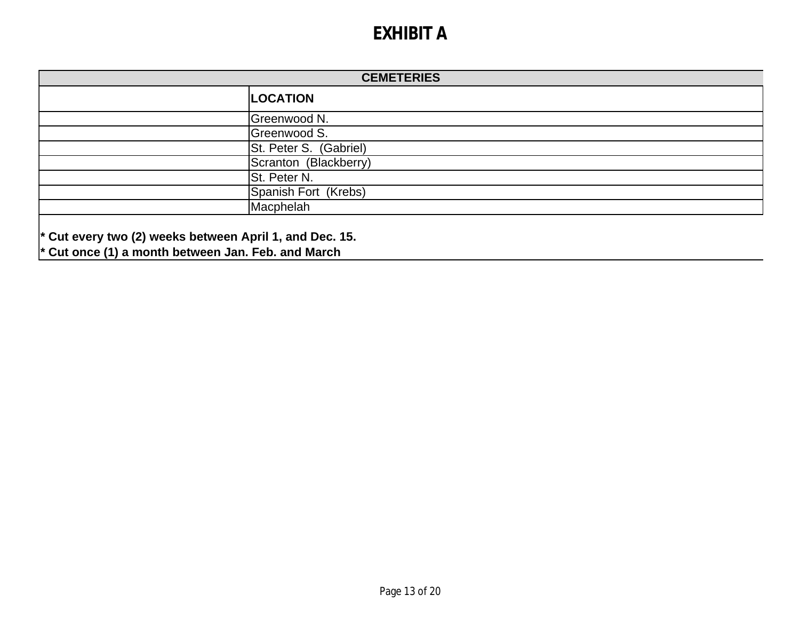| <b>CEMETERIES</b> |                        |
|-------------------|------------------------|
|                   | <b>LOCATION</b>        |
|                   | Greenwood N.           |
|                   | Greenwood S.           |
|                   | St. Peter S. (Gabriel) |
|                   | Scranton (Blackberry)  |
|                   | St. Peter N.           |
|                   | Spanish Fort (Krebs)   |
|                   | Macphelah              |
|                   |                        |

**\* Cut every two (2) weeks between April 1, and Dec. 15.**

**\* Cut once (1) a month between Jan. Feb. and March**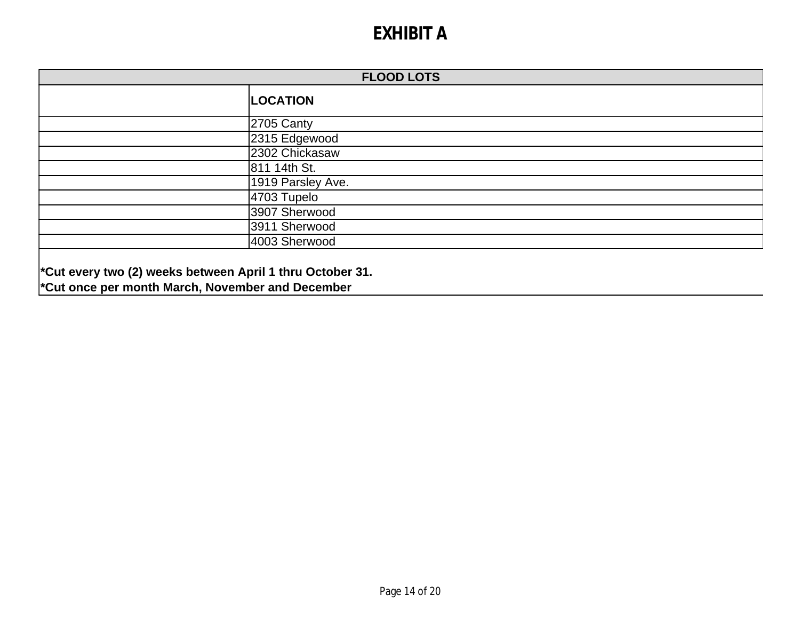| <b>FLOOD LOTS</b> |                   |
|-------------------|-------------------|
|                   | <b>LOCATION</b>   |
|                   | 2705 Canty        |
|                   | 2315 Edgewood     |
|                   | 2302 Chickasaw    |
|                   | 811 14th St.      |
|                   | 1919 Parsley Ave. |
|                   | 4703 Tupelo       |
|                   | 3907 Sherwood     |
|                   | 3911 Sherwood     |
|                   | 4003 Sherwood     |
|                   |                   |

**\*Cut every two (2) weeks between April 1 thru October 31. \*Cut once per month March, November and December**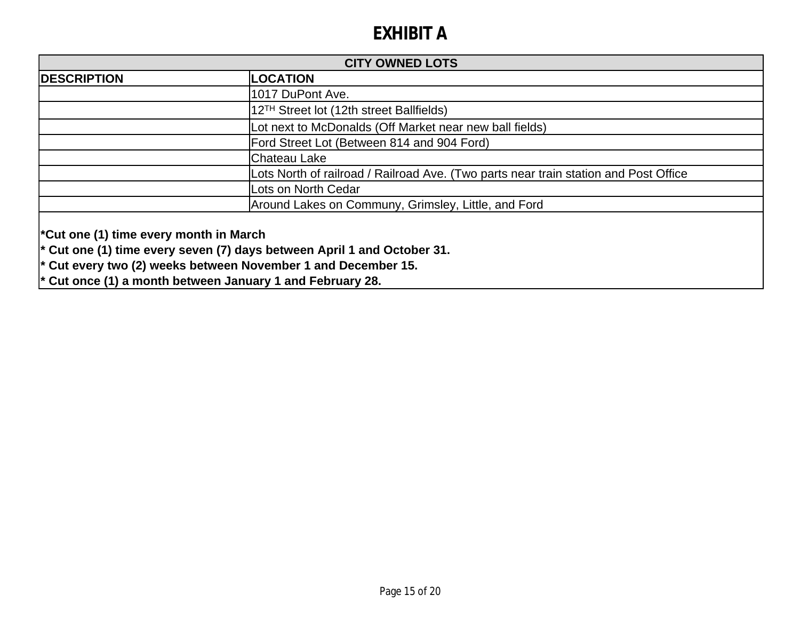| <b>CITY OWNED LOTS</b>                                                                                                                                                                                                                                                              |                                                                                      |
|-------------------------------------------------------------------------------------------------------------------------------------------------------------------------------------------------------------------------------------------------------------------------------------|--------------------------------------------------------------------------------------|
| <b>DESCRIPTION</b>                                                                                                                                                                                                                                                                  | <b>LOCATION</b>                                                                      |
|                                                                                                                                                                                                                                                                                     | 1017 DuPont Ave.                                                                     |
|                                                                                                                                                                                                                                                                                     | 12 <sup>TH</sup> Street lot (12th street Ballfields)                                 |
|                                                                                                                                                                                                                                                                                     | Lot next to McDonalds (Off Market near new ball fields)                              |
|                                                                                                                                                                                                                                                                                     | Ford Street Lot (Between 814 and 904 Ford)                                           |
|                                                                                                                                                                                                                                                                                     | Chateau Lake                                                                         |
|                                                                                                                                                                                                                                                                                     | Lots North of railroad / Railroad Ave. (Two parts near train station and Post Office |
|                                                                                                                                                                                                                                                                                     | Lots on North Cedar                                                                  |
|                                                                                                                                                                                                                                                                                     | Around Lakes on Communy, Grimsley, Little, and Ford                                  |
| <sup>*</sup> Cut one (1) time every month in March<br>$\vert$ * Cut one (1) time every seven (7) days between April 1 and October 31.<br>$\vert$ * Cut every two (2) weeks between November 1 and December 15.<br>$\vert$ * Cut once (1) a month between January 1 and February 28. |                                                                                      |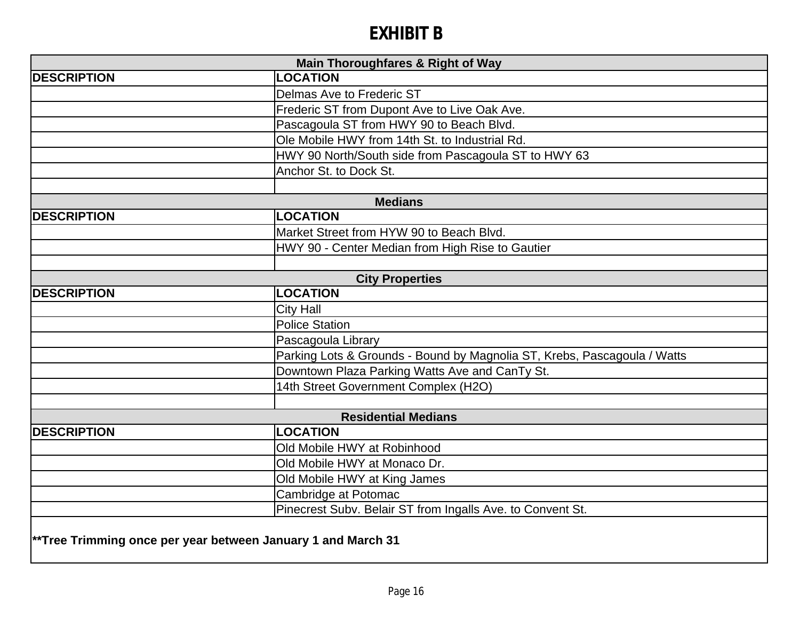# **EXHIBIT B**

| Main Thoroughfares & Right of Way                            |                                                                          |  |
|--------------------------------------------------------------|--------------------------------------------------------------------------|--|
| <b>DESCRIPTION</b>                                           | <b>LOCATION</b>                                                          |  |
|                                                              | Delmas Ave to Frederic ST                                                |  |
|                                                              | Frederic ST from Dupont Ave to Live Oak Ave.                             |  |
|                                                              | Pascagoula ST from HWY 90 to Beach Blvd.                                 |  |
|                                                              | Ole Mobile HWY from 14th St. to Industrial Rd.                           |  |
|                                                              | HWY 90 North/South side from Pascagoula ST to HWY 63                     |  |
|                                                              | Anchor St. to Dock St.                                                   |  |
|                                                              |                                                                          |  |
|                                                              | <b>Medians</b>                                                           |  |
| <b>DESCRIPTION</b>                                           | <b>LOCATION</b>                                                          |  |
|                                                              | Market Street from HYW 90 to Beach Blvd.                                 |  |
|                                                              | HWY 90 - Center Median from High Rise to Gautier                         |  |
|                                                              |                                                                          |  |
|                                                              | <b>City Properties</b>                                                   |  |
| <b>DESCRIPTION</b>                                           | <b>LOCATION</b>                                                          |  |
|                                                              | <b>City Hall</b>                                                         |  |
|                                                              | <b>Police Station</b>                                                    |  |
|                                                              | Pascagoula Library                                                       |  |
|                                                              | Parking Lots & Grounds - Bound by Magnolia ST, Krebs, Pascagoula / Watts |  |
|                                                              | Downtown Plaza Parking Watts Ave and CanTy St.                           |  |
|                                                              | 14th Street Government Complex (H2O)                                     |  |
|                                                              |                                                                          |  |
|                                                              | <b>Residential Medians</b>                                               |  |
| <b>DESCRIPTION</b>                                           | <b>LOCATION</b>                                                          |  |
|                                                              | Old Mobile HWY at Robinhood                                              |  |
|                                                              | Old Mobile HWY at Monaco Dr.                                             |  |
|                                                              | Old Mobile HWY at King James                                             |  |
|                                                              | Cambridge at Potomac                                                     |  |
|                                                              | Pinecrest Subv. Belair ST from Ingalls Ave. to Convent St.               |  |
|                                                              |                                                                          |  |
| **Tree Trimming once per year between January 1 and March 31 |                                                                          |  |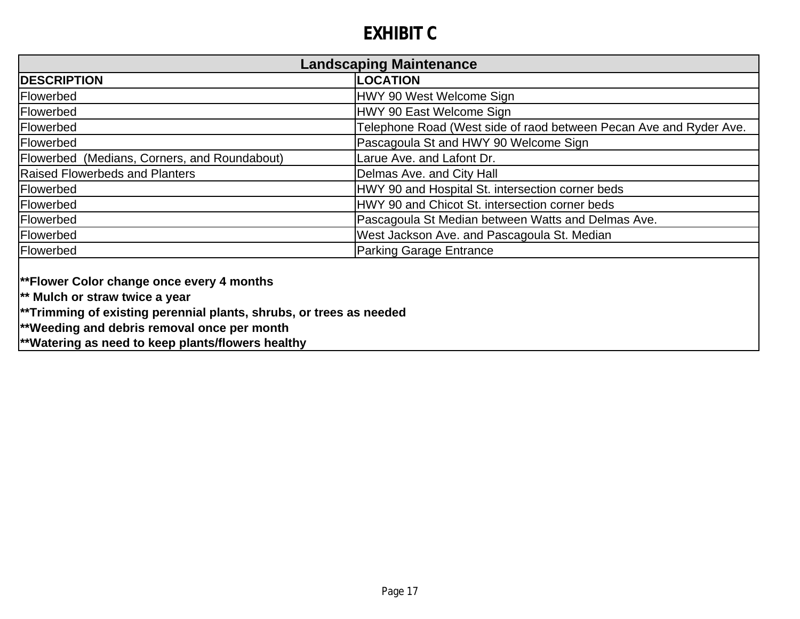# **EXHIBIT C**

| <b>Landscaping Maintenance</b>                                             |  |  |
|----------------------------------------------------------------------------|--|--|
| <b>LOCATION</b>                                                            |  |  |
| HWY 90 West Welcome Sign                                                   |  |  |
| HWY 90 East Welcome Sign                                                   |  |  |
| Telephone Road (West side of raod between Pecan Ave and Ryder Ave.         |  |  |
| Pascagoula St and HWY 90 Welcome Sign                                      |  |  |
| Larue Ave. and Lafont Dr.                                                  |  |  |
| Delmas Ave. and City Hall                                                  |  |  |
| HWY 90 and Hospital St. intersection corner beds                           |  |  |
| HWY 90 and Chicot St. intersection corner beds                             |  |  |
| Pascagoula St Median between Watts and Delmas Ave.                         |  |  |
| West Jackson Ave. and Pascagoula St. Median                                |  |  |
| <b>Parking Garage Entrance</b>                                             |  |  |
| $\mid$ **Trimming of existing perennial plants, shrubs, or trees as needed |  |  |
|                                                                            |  |  |

**\*\*Weeding and debris removal once per month**

**\*\*Watering as need to keep plants/flowers healthy**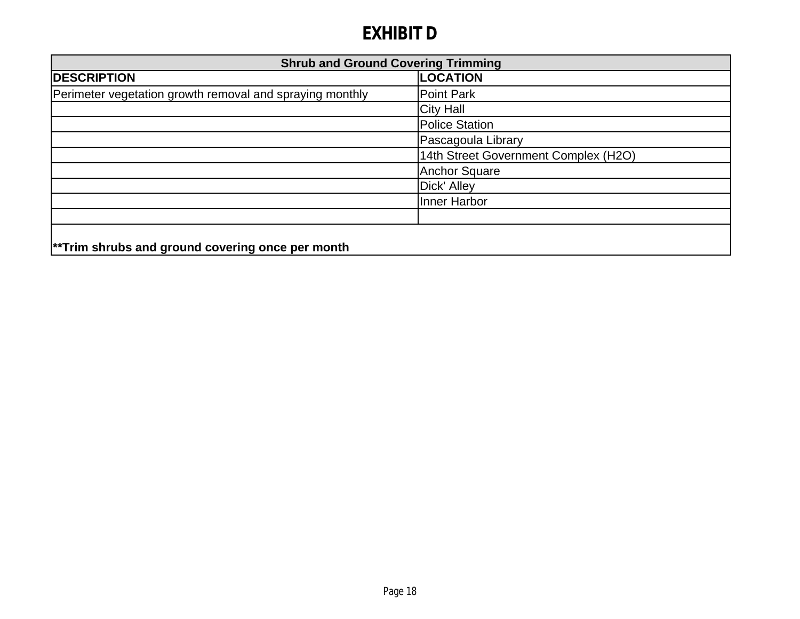# **EXHIBIT D**

| <b>Shrub and Ground Covering Trimming</b>                |                                      |
|----------------------------------------------------------|--------------------------------------|
| <b>DESCRIPTION</b>                                       | <b>LOCATION</b>                      |
| Perimeter vegetation growth removal and spraying monthly | Point Park                           |
|                                                          | <b>City Hall</b>                     |
|                                                          | Police Station                       |
|                                                          | Pascagoula Library                   |
|                                                          | 14th Street Government Complex (H2O) |
|                                                          | <b>Anchor Square</b>                 |
|                                                          | Dick' Alley                          |
|                                                          | Inner Harbor                         |
|                                                          |                                      |
| $\vert$ **Trim shrubs and ground covering once per month |                                      |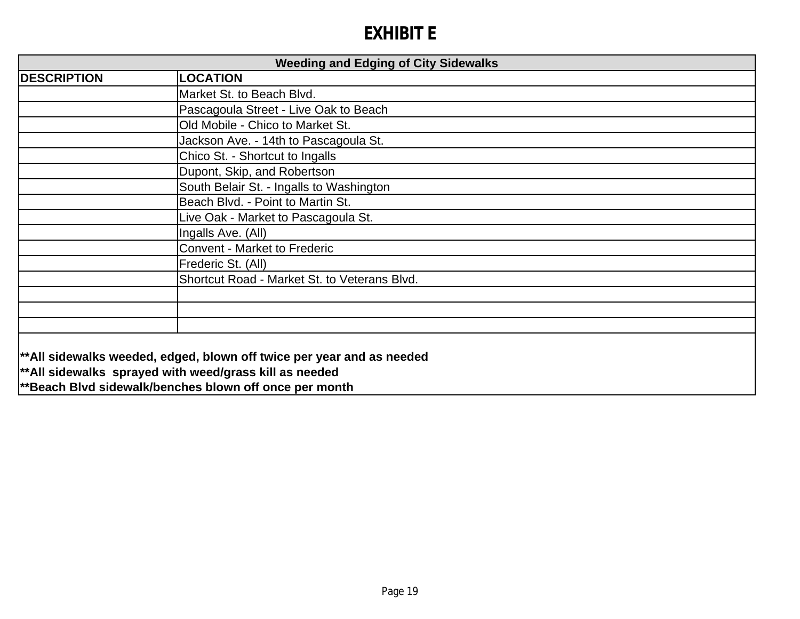# **EXHIBIT E**

| <b>Weeding and Edging of City Sidewalks</b> |                                                                                                                                                                                               |
|---------------------------------------------|-----------------------------------------------------------------------------------------------------------------------------------------------------------------------------------------------|
| <b>DESCRIPTION</b>                          | <b>_OCATION</b>                                                                                                                                                                               |
|                                             | Market St. to Beach Blvd.                                                                                                                                                                     |
|                                             | Pascagoula Street - Live Oak to Beach                                                                                                                                                         |
|                                             | Old Mobile - Chico to Market St.                                                                                                                                                              |
|                                             | Jackson Ave. - 14th to Pascagoula St.                                                                                                                                                         |
|                                             | Chico St. - Shortcut to Ingalls                                                                                                                                                               |
|                                             | Dupont, Skip, and Robertson                                                                                                                                                                   |
|                                             | South Belair St. - Ingalls to Washington                                                                                                                                                      |
|                                             | Beach Blvd. - Point to Martin St.                                                                                                                                                             |
|                                             | Live Oak - Market to Pascagoula St.                                                                                                                                                           |
|                                             | Ingalls Ave. (All)                                                                                                                                                                            |
|                                             | <b>Convent - Market to Frederic</b>                                                                                                                                                           |
|                                             | Frederic St. (All)                                                                                                                                                                            |
|                                             | Shortcut Road - Market St. to Veterans Blvd.                                                                                                                                                  |
|                                             |                                                                                                                                                                                               |
|                                             |                                                                                                                                                                                               |
|                                             |                                                                                                                                                                                               |
|                                             | **All sidewalks weeded, edged, blown off twice per year and as needed<br>$ $ **All sidewalks sprayed with weed/grass kill as needed<br>**Beach Blvd sidewalk/benches blown off once per month |